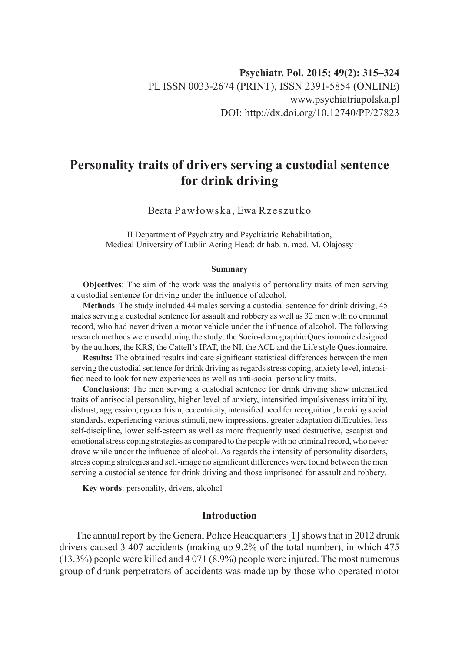# **Personality traits of drivers serving a custodial sentence for drink driving**

Beata Pawłowska, Ewa Rzeszutko

II Department of Psychiatry and Psychiatric Rehabilitation, Medical University of Lublin Acting Head: dr hab. n. med. M. Olajossy

#### **Summary**

**Objectives**: The aim of the work was the analysis of personality traits of men serving a custodial sentence for driving under the influence of alcohol.

**Methods**: The study included 44 males serving a custodial sentence for drink driving, 45 males serving a custodial sentence for assault and robbery as well as 32 men with no criminal record, who had never driven a motor vehicle under the influence of alcohol. The following research methods were used during the study: the Socio-demographic Questionnaire designed by the authors, the KRS, the Cattell's IPAT, the NI, the ACL and the Life style Questionnaire.

**Results:** The obtained results indicate significant statistical differences between the men serving the custodial sentence for drink driving as regards stress coping, anxiety level, intensified need to look for new experiences as well as anti-social personality traits.

**Conclusions**: The men serving a custodial sentence for drink driving show intensified traits of antisocial personality, higher level of anxiety, intensified impulsiveness irritability, distrust, aggression, egocentrism, eccentricity, intensified need for recognition, breaking social standards, experiencing various stimuli, new impressions, greater adaptation difficulties, less self-discipline, lower self-esteem as well as more frequently used destructive, escapist and emotional stress coping strategies as compared to the people with no criminal record, who never drove while under the influence of alcohol. As regards the intensity of personality disorders, stress coping strategies and self-image no significant differences were found between the men serving a custodial sentence for drink driving and those imprisoned for assault and robbery.

**Key words**: personality, drivers, alcohol

### **Introduction**

The annual report by the General Police Headquarters [1] shows that in 2012 drunk drivers caused 3 407 accidents (making up 9.2% of the total number), in which 475 (13.3%) people were killed and 4 071 (8.9%) people were injured. The most numerous group of drunk perpetrators of accidents was made up by those who operated motor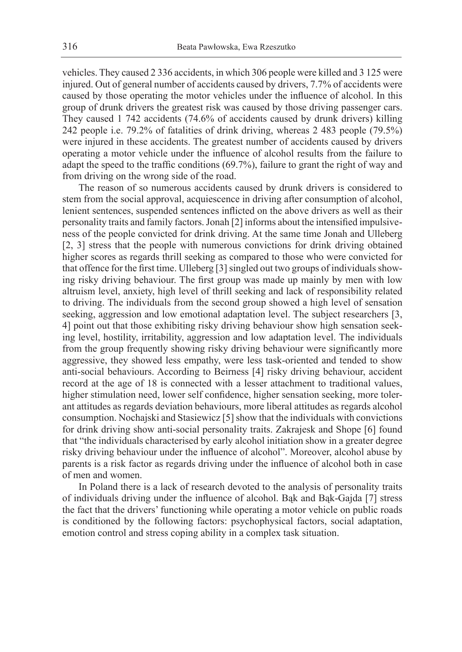vehicles. They caused 2 336 accidents, in which 306 people were killed and 3 125 were injured. Out of general number of accidents caused by drivers, 7.7% of accidents were caused by those operating the motor vehicles under the influence of alcohol. In this group of drunk drivers the greatest risk was caused by those driving passenger cars. They caused 1 742 accidents (74.6% of accidents caused by drunk drivers) killing 242 people i.e. 79.2% of fatalities of drink driving, whereas 2 483 people (79.5%) were injured in these accidents. The greatest number of accidents caused by drivers operating a motor vehicle under the influence of alcohol results from the failure to adapt the speed to the traffic conditions (69.7%), failure to grant the right of way and from driving on the wrong side of the road.

The reason of so numerous accidents caused by drunk drivers is considered to stem from the social approval, acquiescence in driving after consumption of alcohol, lenient sentences, suspended sentences inflicted on the above drivers as well as their personality traits and family factors. Jonah [2] informs about the intensified impulsiveness of the people convicted for drink driving. At the same time Jonah and Ulleberg [2, 3] stress that the people with numerous convictions for drink driving obtained higher scores as regards thrill seeking as compared to those who were convicted for that offence for the first time. Ulleberg [3] singled out two groups of individuals showing risky driving behaviour. The first group was made up mainly by men with low altruism level, anxiety, high level of thrill seeking and lack of responsibility related to driving. The individuals from the second group showed a high level of sensation seeking, aggression and low emotional adaptation level. The subject researchers [3, 4] point out that those exhibiting risky driving behaviour show high sensation seeking level, hostility, irritability, aggression and low adaptation level. The individuals from the group frequently showing risky driving behaviour were significantly more aggressive, they showed less empathy, were less task-oriented and tended to show anti-social behaviours. According to Beirness [4] risky driving behaviour, accident record at the age of 18 is connected with a lesser attachment to traditional values, higher stimulation need, lower self confidence, higher sensation seeking, more tolerant attitudes as regards deviation behaviours, more liberal attitudes as regards alcohol consumption. Nochajski and Stasiewicz [5] show that the individuals with convictions for drink driving show anti-social personality traits. Zakrajesk and Shope [6] found that "the individuals characterised by early alcohol initiation show in a greater degree risky driving behaviour under the influence of alcohol". Moreover, alcohol abuse by parents is a risk factor as regards driving under the influence of alcohol both in case of men and women.

In Poland there is a lack of research devoted to the analysis of personality traits of individuals driving under the influence of alcohol. Bąk and Bąk-Gajda [7] stress the fact that the drivers' functioning while operating a motor vehicle on public roads is conditioned by the following factors: psychophysical factors, social adaptation, emotion control and stress coping ability in a complex task situation.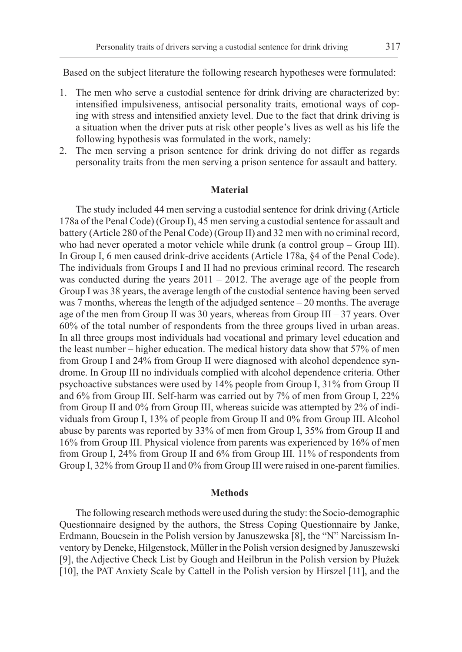Based on the subject literature the following research hypotheses were formulated:

- 1. The men who serve a custodial sentence for drink driving are characterized by: intensified impulsiveness, antisocial personality traits, emotional ways of coping with stress and intensified anxiety level. Due to the fact that drink driving is a situation when the driver puts at risk other people's lives as well as his life the following hypothesis was formulated in the work, namely:
- 2. The men serving a prison sentence for drink driving do not differ as regards personality traits from the men serving a prison sentence for assault and battery.

## **Material**

The study included 44 men serving a custodial sentence for drink driving (Article 178a of the Penal Code) (Group I), 45 men serving a custodial sentence for assault and battery (Article 280 of the Penal Code) (Group II) and 32 men with no criminal record, who had never operated a motor vehicle while drunk (a control group – Group III). In Group I, 6 men caused drink-drive accidents (Article 178a, §4 of the Penal Code). The individuals from Groups I and II had no previous criminal record. The research was conducted during the years  $2011 - 2012$ . The average age of the people from Group I was 38 years, the average length of the custodial sentence having been served was 7 months, whereas the length of the adjudged sentence – 20 months. The average age of the men from Group II was 30 years, whereas from Group III – 37 years. Over 60% of the total number of respondents from the three groups lived in urban areas. In all three groups most individuals had vocational and primary level education and the least number – higher education. The medical history data show that 57% of men from Group I and 24% from Group II were diagnosed with alcohol dependence syndrome. In Group III no individuals complied with alcohol dependence criteria. Other psychoactive substances were used by 14% people from Group I, 31% from Group II and 6% from Group III. Self-harm was carried out by 7% of men from Group I, 22% from Group II and 0% from Group III, whereas suicide was attempted by 2% of individuals from Group I, 13% of people from Group II and 0% from Group III. Alcohol abuse by parents was reported by 33% of men from Group I, 35% from Group II and 16% from Group III. Physical violence from parents was experienced by 16% of men from Group I, 24% from Group II and 6% from Group III. 11% of respondents from Group I, 32% from Group II and 0% from Group III were raised in one-parent families.

#### **Methods**

The following research methods were used during the study: the Socio-demographic Questionnaire designed by the authors, the Stress Coping Questionnaire by Janke, Erdmann, Boucsein in the Polish version by Januszewska [8], the "N" Narcissism Inventory by Deneke, Hilgenstock, Müller in the Polish version designed by Januszewski [9], the Adjective Check List by Gough and Heilbrun in the Polish version by Płużek [10], the PAT Anxiety Scale by Cattell in the Polish version by Hirszel [11], and the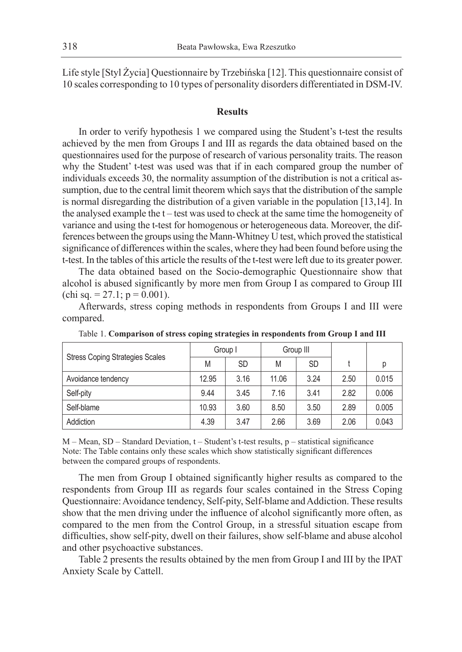Life style [Styl Życia] Questionnaire by Trzebińska [12]. This questionnaire consist of 10 scales corresponding to 10 types of personality disorders differentiated in DSM-IV.

## **Results**

In order to verify hypothesis 1 we compared using the Student's t-test the results achieved by the men from Groups I and III as regards the data obtained based on the questionnaires used for the purpose of research of various personality traits. The reason why the Student' t-test was used was that if in each compared group the number of individuals exceeds 30, the normality assumption of the distribution is not a critical assumption, due to the central limit theorem which says that the distribution of the sample is normal disregarding the distribution of a given variable in the population [13,14]. In the analysed example the t – test was used to check at the same time the homogeneity of variance and using the t-test for homogenous or heterogeneous data. Moreover, the differences between the groups using the Mann-Whitney U test, which proved the statistical significance of differences within the scales, where they had been found before using the t-test. In the tables of this article the results of the t-test were left due to its greater power.

The data obtained based on the Socio-demographic Questionnaire show that alcohol is abused significantly by more men from Group I as compared to Group III (chi sq. = 27.1;  $p = 0.001$ ).

Afterwards, stress coping methods in respondents from Groups I and III were compared.

|                                        | Group I |           | Group III |           |      |       |
|----------------------------------------|---------|-----------|-----------|-----------|------|-------|
| <b>Stress Coping Strategies Scales</b> | M       | <b>SD</b> | M         | <b>SD</b> |      |       |
| Avoidance tendency                     | 12.95   | 3.16      | 11.06     | 3.24      | 2.50 | 0.015 |
| Self-pity                              | 9.44    | 3.45      | 7.16      | 3.41      | 2.82 | 0.006 |
| Self-blame                             | 10.93   | 3.60      | 8.50      | 3.50      | 2.89 | 0.005 |
| Addiction                              | 4.39    | 3.47      | 2.66      | 3.69      | 2.06 | 0.043 |

Table 1. **Comparison of stress coping strategies in respondents from Group I and III**

M – Mean, SD – Standard Deviation, t – Student's t-test results, p – statistical significance Note: The Table contains only these scales which show statistically significant differences between the compared groups of respondents.

The men from Group I obtained significantly higher results as compared to the respondents from Group III as regards four scales contained in the Stress Coping Questionnaire: Avoidance tendency, Self-pity, Self-blame and Addiction. These results show that the men driving under the influence of alcohol significantly more often, as compared to the men from the Control Group, in a stressful situation escape from difficulties, show self-pity, dwell on their failures, show self-blame and abuse alcohol and other psychoactive substances.

Table 2 presents the results obtained by the men from Group I and III by the IPAT Anxiety Scale by Cattell.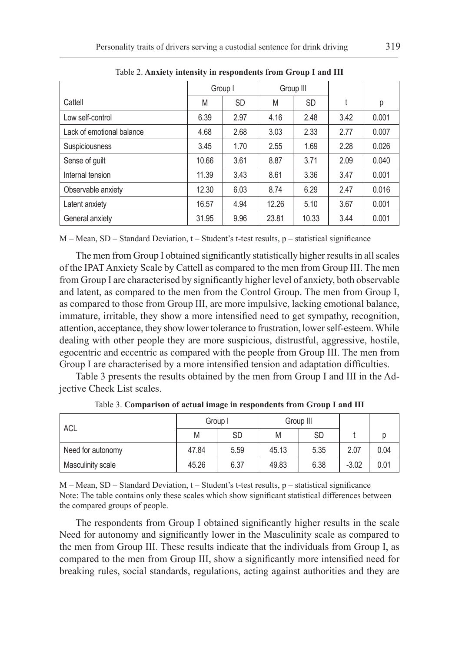|                           | Group I |           | Group III |           |      |       |
|---------------------------|---------|-----------|-----------|-----------|------|-------|
| Cattell                   | M       | <b>SD</b> | M         | <b>SD</b> | ÷    | р     |
| Low self-control          | 6.39    | 2.97      | 4.16      | 2.48      | 3.42 | 0.001 |
| Lack of emotional balance | 4.68    | 2.68      | 3.03      | 2.33      | 2.77 | 0.007 |
| <b>Suspiciousness</b>     | 3.45    | 1.70      | 2.55      | 1.69      | 2.28 | 0.026 |
| Sense of guilt            | 10.66   | 3.61      | 8.87      | 3.71      | 2.09 | 0.040 |
| Internal tension          | 11.39   | 3.43      | 8.61      | 3.36      | 3.47 | 0.001 |
| Observable anxiety        | 12.30   | 6.03      | 8.74      | 6.29      | 2.47 | 0.016 |
| Latent anxiety            | 16.57   | 4.94      | 12.26     | 5.10      | 3.67 | 0.001 |
| General anxiety           | 31.95   | 9.96      | 23.81     | 10.33     | 3.44 | 0.001 |

Table 2. **Anxiety intensity in respondents from Group I and III**

 $M - Mean$ , SD – Standard Deviation,  $t - Student's$  t-test results, p – statistical significance

The men from Group I obtained significantly statistically higher results in all scales of the IPAT Anxiety Scale by Cattell as compared to the men from Group III. The men from Group I are characterised by significantly higher level of anxiety, both observable and latent, as compared to the men from the Control Group. The men from Group I, as compared to those from Group III, are more impulsive, lacking emotional balance, immature, irritable, they show a more intensified need to get sympathy, recognition, attention, acceptance, they show lower tolerance to frustration, lower self-esteem. While dealing with other people they are more suspicious, distrustful, aggressive, hostile, egocentric and eccentric as compared with the people from Group III. The men from Group I are characterised by a more intensified tension and adaptation difficulties.

Table 3 presents the results obtained by the men from Group I and III in the Adjective Check List scales.

| ACL               | Group I |           |       | Group III |         |      |
|-------------------|---------|-----------|-------|-----------|---------|------|
|                   | M       | <b>SD</b> | M     | <b>SD</b> |         |      |
| Need for autonomy | 47.84   | 5.59      | 45.13 | 5.35      | 2.07    | 0.04 |
| Masculinity scale | 45.26   | 6.37      | 49.83 | 6.38      | $-3.02$ | 0.01 |

Table 3. **Comparison of actual image in respondents from Group I and III**

 $M - Mean$ , SD – Standard Deviation,  $t - Student's$  t-test results,  $p - statistical$  significance Note: The table contains only these scales which show significant statistical differences between the compared groups of people.

The respondents from Group I obtained significantly higher results in the scale Need for autonomy and significantly lower in the Masculinity scale as compared to the men from Group III. These results indicate that the individuals from Group I, as compared to the men from Group III, show a significantly more intensified need for breaking rules, social standards, regulations, acting against authorities and they are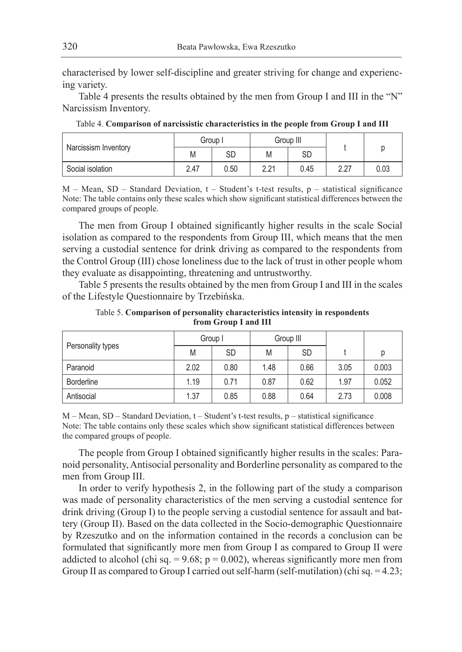characterised by lower self-discipline and greater striving for change and experiencing variety.

Table 4 presents the results obtained by the men from Group I and III in the "N" Narcissism Inventory.

| Narcissism Inventory | Group I |      | Group III                  |      |      |      |
|----------------------|---------|------|----------------------------|------|------|------|
|                      | Μ       | SD   | M                          | SD   |      |      |
| Social isolation     | 2.47    | 0.50 | $\Omega$ $\Omega$ 1<br>L.L | 0.45 | 2.27 | 0.03 |

Table 4. **Comparison of narcissistic characteristics in the people from Group I and III**

 $M - Mean$ , SD – Standard Deviation, t – Student's t-test results, p – statistical significance Note: The table contains only these scales which show significant statistical differences between the compared groups of people.

The men from Group I obtained significantly higher results in the scale Social isolation as compared to the respondents from Group III, which means that the men serving a custodial sentence for drink driving as compared to the respondents from the Control Group (III) chose loneliness due to the lack of trust in other people whom they evaluate as disappointing, threatening and untrustworthy.

Table 5 presents the results obtained by the men from Group I and III in the scales of the Lifestyle Questionnaire by Trzebińska.

Table 5. **Comparison of personality characteristics intensity in respondents from Group I and III**

|                   | Group I |           |      | Group III |      |       |
|-------------------|---------|-----------|------|-----------|------|-------|
| Personality types | M       | <b>SD</b> | M    | <b>SD</b> |      | р     |
| Paranoid          | 2.02    | 0.80      | 1.48 | 0.66      | 3.05 | 0.003 |
| <b>Borderline</b> | 1.19    | 0.71      | 0.87 | 0.62      | 1.97 | 0.052 |
| Antisocial        | 1.37    | 0.85      | 0.88 | 0.64      | 2.73 | 0.008 |

 $M - Mean$ ,  $SD - Standard Deviation$ ,  $t - Student's t-test$  results,  $p - statistical significance$ Note: The table contains only these scales which show significant statistical differences between the compared groups of people.

The people from Group I obtained significantly higher results in the scales: Paranoid personality, Antisocial personality and Borderline personality as compared to the men from Group III.

In order to verify hypothesis 2, in the following part of the study a comparison was made of personality characteristics of the men serving a custodial sentence for drink driving (Group I) to the people serving a custodial sentence for assault and battery (Group II). Based on the data collected in the Socio-demographic Questionnaire by Rzeszutko and on the information contained in the records a conclusion can be formulated that significantly more men from Group I as compared to Group II were addicted to alcohol (chi sq.  $= 9.68$ ;  $p = 0.002$ ), whereas significantly more men from Group II as compared to Group I carried out self-harm (self-mutilation) (chi sq. = 4.23;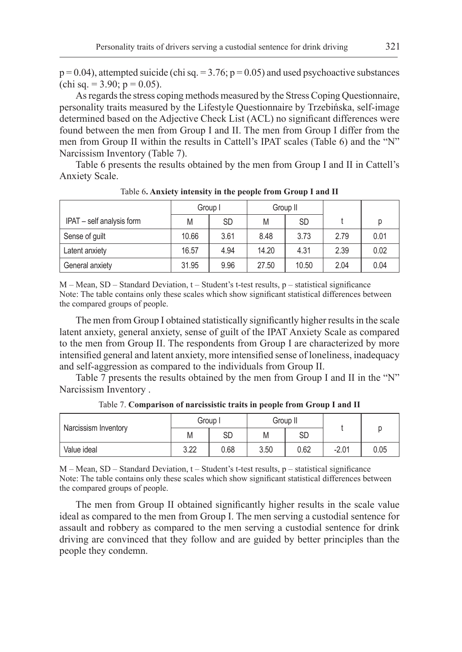$p = 0.04$ ), attempted suicide (chi sq. = 3.76;  $p = 0.05$ ) and used psychoactive substances (chi sq. = 3.90;  $p = 0.05$ ).

As regards the stress coping methods measured by the Stress Coping Questionnaire, personality traits measured by the Lifestyle Questionnaire by Trzebińska, self-image determined based on the Adjective Check List (ACL) no significant differences were found between the men from Group I and II. The men from Group I differ from the men from Group II within the results in Cattell's IPAT scales (Table 6) and the "N" Narcissism Inventory (Table 7).

Table 6 presents the results obtained by the men from Group I and II in Cattell's Anxiety Scale.

|                           | Group I |      | Group II |           |      |      |
|---------------------------|---------|------|----------|-----------|------|------|
| IPAT - self analysis form | M       | SD   | M        | <b>SD</b> |      | р    |
| Sense of guilt            | 10.66   | 3.61 | 8.48     | 3.73      | 2.79 | 0.01 |
| Latent anxiety            | 16.57   | 4.94 | 14.20    | 4.31      | 2.39 | 0.02 |
| General anxiety           | 31.95   | 9.96 | 27.50    | 10.50     | 2.04 | 0.04 |

Table 6**. Anxiety intensity in the people from Group I and II**

M – Mean, SD – Standard Deviation, t – Student's t-test results, p – statistical significance Note: The table contains only these scales which show significant statistical differences between the compared groups of people.

The men from Group I obtained statistically significantly higher results in the scale latent anxiety, general anxiety, sense of guilt of the IPAT Anxiety Scale as compared to the men from Group II. The respondents from Group I are characterized by more intensified general and latent anxiety, more intensified sense of loneliness, inadequacy and self-aggression as compared to the individuals from Group II.

Table 7 presents the results obtained by the men from Group I and II in the "N" Narcissism Inventory .

| Narcissism Inventory | Group I      |      | Group II |      |         |      |
|----------------------|--------------|------|----------|------|---------|------|
|                      | M            | SD   | M        | SD   |         |      |
| Value ideal          | າ າາ<br>J.ZZ | 0.68 | 3.50     | 0.62 | $-2.01$ | 0.05 |

Table 7. **Comparison of narcissistic traits in people from Group I and II**

 $M - Mean$ ,  $SD - Standard Deviation$ ,  $t - Student's t-test$  results,  $p - statistical significance$ Note: The table contains only these scales which show significant statistical differences between the compared groups of people.

The men from Group II obtained significantly higher results in the scale value ideal as compared to the men from Group I. The men serving a custodial sentence for assault and robbery as compared to the men serving a custodial sentence for drink driving are convinced that they follow and are guided by better principles than the people they condemn.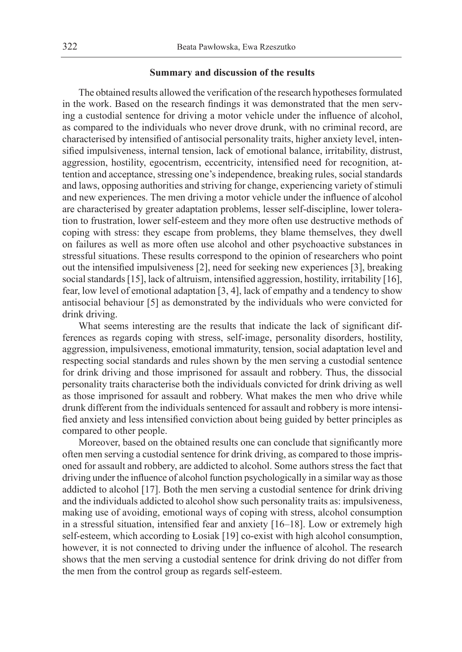#### **Summary and discussion of the results**

The obtained results allowed the verification of the research hypotheses formulated in the work. Based on the research findings it was demonstrated that the men serving a custodial sentence for driving a motor vehicle under the influence of alcohol, as compared to the individuals who never drove drunk, with no criminal record, are characterised by intensified of antisocial personality traits, higher anxiety level, intensified impulsiveness, internal tension, lack of emotional balance, irritability, distrust, aggression, hostility, egocentrism, eccentricity, intensified need for recognition, attention and acceptance, stressing one's independence, breaking rules, social standards and laws, opposing authorities and striving for change, experiencing variety of stimuli and new experiences. The men driving a motor vehicle under the influence of alcohol are characterised by greater adaptation problems, lesser self-discipline, lower toleration to frustration, lower self-esteem and they more often use destructive methods of coping with stress: they escape from problems, they blame themselves, they dwell on failures as well as more often use alcohol and other psychoactive substances in stressful situations. These results correspond to the opinion of researchers who point out the intensified impulsiveness [2], need for seeking new experiences [3], breaking social standards [15], lack of altruism, intensified aggression, hostility, irritability [16], fear, low level of emotional adaptation [3, 4], lack of empathy and a tendency to show antisocial behaviour [5] as demonstrated by the individuals who were convicted for drink driving.

What seems interesting are the results that indicate the lack of significant differences as regards coping with stress, self-image, personality disorders, hostility, aggression, impulsiveness, emotional immaturity, tension, social adaptation level and respecting social standards and rules shown by the men serving a custodial sentence for drink driving and those imprisoned for assault and robbery. Thus, the dissocial personality traits characterise both the individuals convicted for drink driving as well as those imprisoned for assault and robbery. What makes the men who drive while drunk different from the individuals sentenced for assault and robbery is more intensified anxiety and less intensified conviction about being guided by better principles as compared to other people.

Moreover, based on the obtained results one can conclude that significantly more often men serving a custodial sentence for drink driving, as compared to those imprisoned for assault and robbery, are addicted to alcohol. Some authors stress the fact that driving under the influence of alcohol function psychologically in a similar way as those addicted to alcohol [17]. Both the men serving a custodial sentence for drink driving and the individuals addicted to alcohol show such personality traits as: impulsiveness, making use of avoiding, emotional ways of coping with stress, alcohol consumption in a stressful situation, intensified fear and anxiety [16–18]. Low or extremely high self-esteem, which according to Łosiak [19] co-exist with high alcohol consumption, however, it is not connected to driving under the influence of alcohol. The research shows that the men serving a custodial sentence for drink driving do not differ from the men from the control group as regards self-esteem.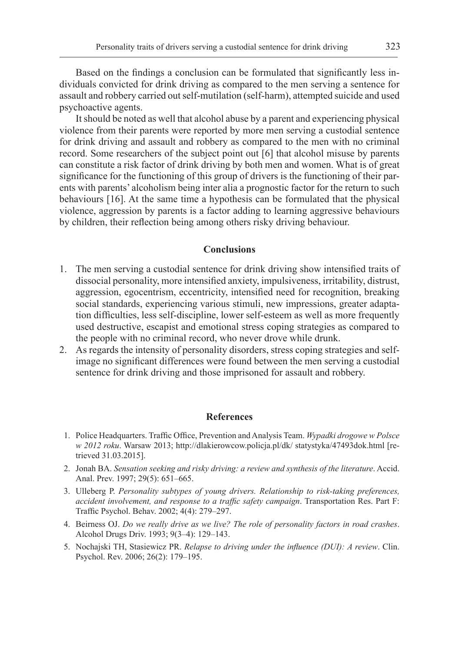Based on the findings a conclusion can be formulated that significantly less individuals convicted for drink driving as compared to the men serving a sentence for assault and robbery carried out self-mutilation (self-harm), attempted suicide and used psychoactive agents.

It should be noted as well that alcohol abuse by a parent and experiencing physical violence from their parents were reported by more men serving a custodial sentence for drink driving and assault and robbery as compared to the men with no criminal record. Some researchers of the subject point out [6] that alcohol misuse by parents can constitute a risk factor of drink driving by both men and women. What is of great significance for the functioning of this group of drivers is the functioning of their parents with parents' alcoholism being inter alia a prognostic factor for the return to such behaviours [16]. At the same time a hypothesis can be formulated that the physical violence, aggression by parents is a factor adding to learning aggressive behaviours by children, their reflection being among others risky driving behaviour.

#### **Conclusions**

- 1. The men serving a custodial sentence for drink driving show intensified traits of dissocial personality, more intensified anxiety, impulsiveness, irritability, distrust, aggression, egocentrism, eccentricity, intensified need for recognition, breaking social standards, experiencing various stimuli, new impressions, greater adaptation difficulties, less self-discipline, lower self-esteem as well as more frequently used destructive, escapist and emotional stress coping strategies as compared to the people with no criminal record, who never drove while drunk.
- 2. As regards the intensity of personality disorders, stress coping strategies and selfimage no significant differences were found between the men serving a custodial sentence for drink driving and those imprisoned for assault and robbery.

#### **References**

- 1. Police Headquarters. Traffic Office, Prevention and Analysis Team. *Wypadki drogowe w Polsce w 2012 roku*. Warsaw 2013; http://dlakierowcow.policja.pl/dk/ statystyka/47493dok.html [retrieved 31.03.2015].
- 2. Jonah BA. *Sensation seeking and risky driving: a review and synthesis of the literature*. Accid. Anal. Prev. 1997; 29(5): 651–665.
- 3. Ulleberg P. *Personality subtypes of young drivers. Relationship to risk-taking preferences, accident involvement, and response to a traffic safety campaign*. Transportation Res. Part F: Traffic Psychol. Behav. 2002; 4(4): 279–297.
- 4. Beirness OJ. *Do we really drive as we live? The role of personality factors in road crashes*. Alcohol Drugs Driv. 1993; 9(3–4): 129–143.
- 5. Nochajski TH, Stasiewicz PR. *Relapse to driving under the influence (DUI): A review*. Clin. Psychol. Rev. 2006; 26(2): 179–195.